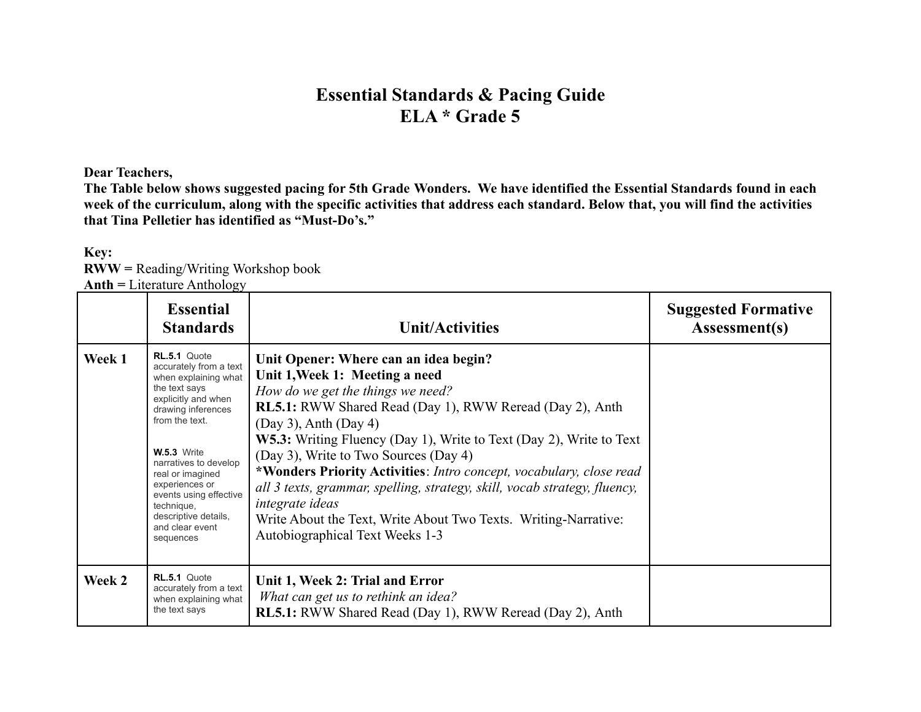## **Essential Standards & Pacing Guide ELA \* Grade 5**

**Dear Teachers,**

**The Table below shows suggested pacing for 5th Grade Wonders. We have identified the Essential Standards found in each week of the curriculum, along with the specific activities that address each standard. Below that, you will find the activities that Tina Pelletier has identified as "Must-Do's."**

|        | $\text{Anth} =$ Literature Anthology                                                                                                                                                                                                                                                                                                |                                                                                                                                                                                                                                                                                                                                                                                                                                                                                                                                                                                                                          |                                             |  |  |
|--------|-------------------------------------------------------------------------------------------------------------------------------------------------------------------------------------------------------------------------------------------------------------------------------------------------------------------------------------|--------------------------------------------------------------------------------------------------------------------------------------------------------------------------------------------------------------------------------------------------------------------------------------------------------------------------------------------------------------------------------------------------------------------------------------------------------------------------------------------------------------------------------------------------------------------------------------------------------------------------|---------------------------------------------|--|--|
|        | <b>Essential</b><br><b>Standards</b>                                                                                                                                                                                                                                                                                                | <b>Unit/Activities</b>                                                                                                                                                                                                                                                                                                                                                                                                                                                                                                                                                                                                   | <b>Suggested Formative</b><br>Assessment(s) |  |  |
| Week 1 | RL.5.1 Quote<br>accurately from a text<br>when explaining what<br>the text says<br>explicitly and when<br>drawing inferences<br>from the text.<br><b>W.5.3</b> Write<br>narratives to develop<br>real or imagined<br>experiences or<br>events using effective<br>technique,<br>descriptive details,<br>and clear event<br>sequences | Unit Opener: Where can an idea begin?<br>Unit 1, Week 1: Meeting a need<br>How do we get the things we need?<br><b>RL5.1:</b> RWW Shared Read (Day 1), RWW Reread (Day 2), Anth<br>$(Day 3)$ , Anth $(Day 4)$<br><b>W5.3:</b> Writing Fluency (Day 1), Write to Text (Day 2), Write to Text<br>(Day 3), Write to Two Sources (Day 4)<br>*Wonders Priority Activities: Intro concept, vocabulary, close read<br>all 3 texts, grammar, spelling, strategy, skill, vocab strategy, fluency,<br><i>integrate ideas</i><br>Write About the Text, Write About Two Texts. Writing-Narrative:<br>Autobiographical Text Weeks 1-3 |                                             |  |  |
| Week 2 | RL.5.1 Quote<br>accurately from a text<br>when explaining what<br>the text says                                                                                                                                                                                                                                                     | Unit 1, Week 2: Trial and Error<br>What can get us to rethink an idea?<br><b>RL5.1:</b> RWW Shared Read (Day 1), RWW Reread (Day 2), Anth                                                                                                                                                                                                                                                                                                                                                                                                                                                                                |                                             |  |  |

**Key: RWW =** Reading/Writing Workshop book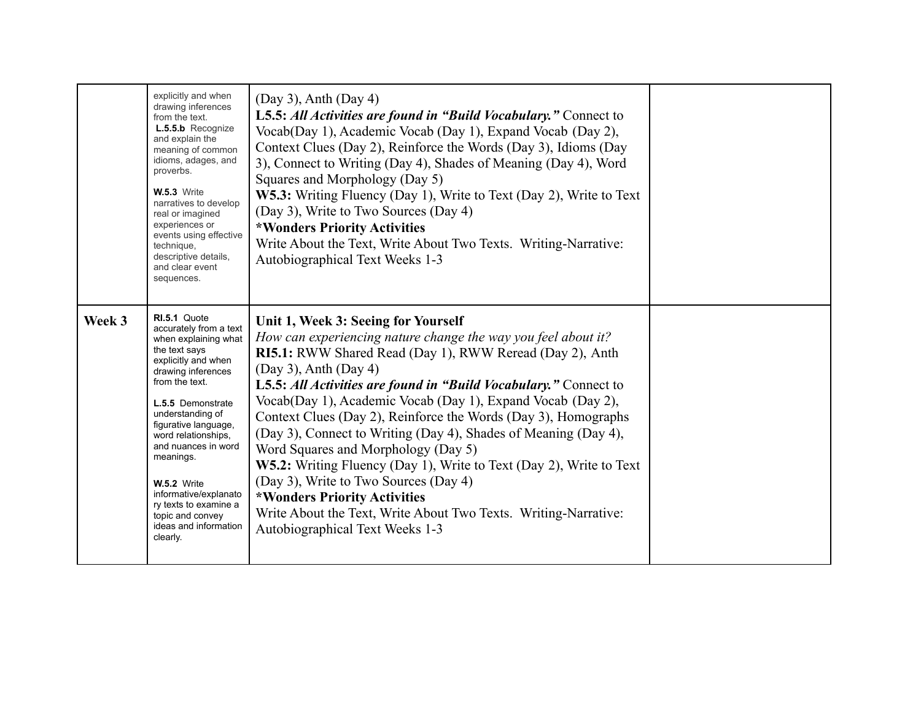|        | explicitly and when<br>drawing inferences<br>from the text.<br>L.5.5.b Recognize<br>and explain the<br>meaning of common<br>idioms, adages, and<br>proverbs.<br><b>W.5.3</b> Write<br>narratives to develop<br>real or imagined<br>experiences or<br>events using effective<br>technique,<br>descriptive details,<br>and clear event<br>sequences.                                                          | $(Day 3)$ , Anth $(Day 4)$<br>L5.5: All Activities are found in "Build Vocabulary." Connect to<br>Vocab(Day 1), Academic Vocab (Day 1), Expand Vocab (Day 2),<br>Context Clues (Day 2), Reinforce the Words (Day 3), Idioms (Day<br>3), Connect to Writing (Day 4), Shades of Meaning (Day 4), Word<br>Squares and Morphology (Day 5)<br>W5.3: Writing Fluency (Day 1), Write to Text (Day 2), Write to Text<br>(Day 3), Write to Two Sources (Day 4)<br>*Wonders Priority Activities<br>Write About the Text, Write About Two Texts. Writing-Narrative:<br>Autobiographical Text Weeks 1-3                                                                                                                                                                         |  |
|--------|-------------------------------------------------------------------------------------------------------------------------------------------------------------------------------------------------------------------------------------------------------------------------------------------------------------------------------------------------------------------------------------------------------------|---------------------------------------------------------------------------------------------------------------------------------------------------------------------------------------------------------------------------------------------------------------------------------------------------------------------------------------------------------------------------------------------------------------------------------------------------------------------------------------------------------------------------------------------------------------------------------------------------------------------------------------------------------------------------------------------------------------------------------------------------------------------|--|
| Week 3 | RI.5.1 Quote<br>accurately from a text<br>when explaining what<br>the text says<br>explicitly and when<br>drawing inferences<br>from the text.<br>L.5.5 Demonstrate<br>understanding of<br>figurative language,<br>word relationships.<br>and nuances in word<br>meanings.<br><b>W.5.2</b> Write<br>informative/explanato<br>ry texts to examine a<br>topic and convey<br>ideas and information<br>clearly. | Unit 1, Week 3: Seeing for Yourself<br>How can experiencing nature change the way you feel about it?<br>RI5.1: RWW Shared Read (Day 1), RWW Reread (Day 2), Anth<br>$(Day 3)$ , Anth $(Day 4)$<br>L5.5: All Activities are found in "Build Vocabulary." Connect to<br>Vocab(Day 1), Academic Vocab (Day 1), Expand Vocab (Day 2),<br>Context Clues (Day 2), Reinforce the Words (Day 3), Homographs<br>(Day 3), Connect to Writing (Day 4), Shades of Meaning (Day 4),<br>Word Squares and Morphology (Day 5)<br>W5.2: Writing Fluency (Day 1), Write to Text (Day 2), Write to Text<br>(Day 3), Write to Two Sources (Day 4)<br>*Wonders Priority Activities<br>Write About the Text, Write About Two Texts. Writing-Narrative:<br>Autobiographical Text Weeks 1-3 |  |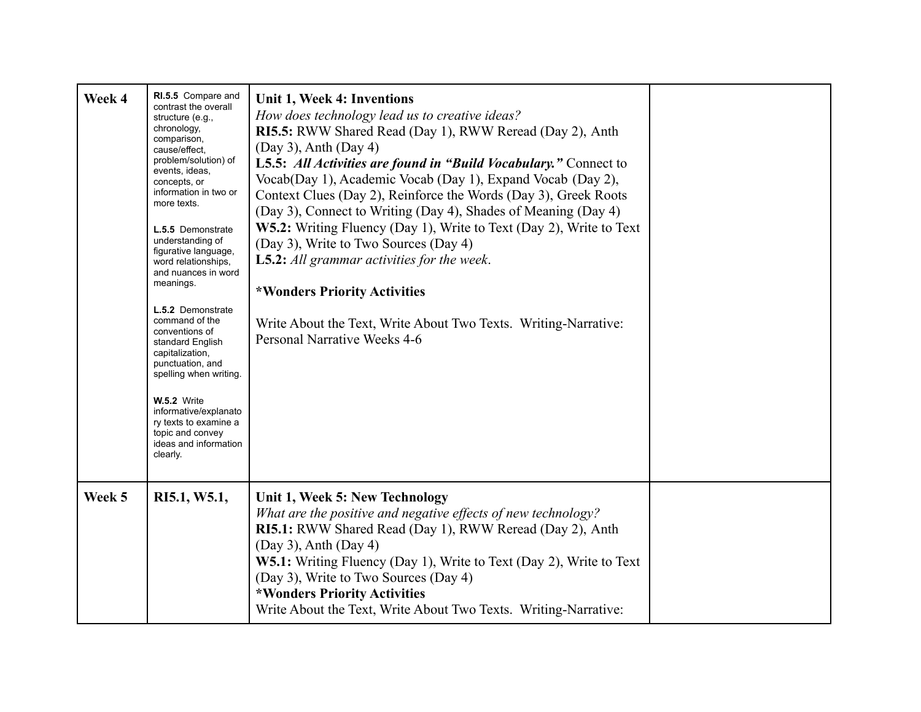| Week 4 | RI.5.5 Compare and<br>contrast the overall<br>structure (e.g.,<br>chronology,<br>comparison,<br>cause/effect.<br>problem/solution) of<br>events, ideas,<br>concepts, or<br>information in two or<br>more texts.<br>L.5.5 Demonstrate<br>understanding of<br>figurative language,<br>word relationships.<br>and nuances in word<br>meanings.<br>L.5.2 Demonstrate<br>command of the<br>conventions of<br>standard English<br>capitalization,<br>punctuation, and<br>spelling when writing.<br><b>W.5.2</b> Write<br>informative/explanato<br>ry texts to examine a<br>topic and convey<br>ideas and information<br>clearly. | Unit 1, Week 4: Inventions<br>How does technology lead us to creative ideas?<br>RI5.5: RWW Shared Read (Day 1), RWW Reread (Day 2), Anth<br>$(Day 3)$ , Anth $(Day 4)$<br>L5.5: All Activities are found in "Build Vocabulary." Connect to<br>Vocab(Day 1), Academic Vocab (Day 1), Expand Vocab (Day 2),<br>Context Clues (Day 2), Reinforce the Words (Day 3), Greek Roots<br>(Day 3), Connect to Writing (Day 4), Shades of Meaning (Day 4)<br>W5.2: Writing Fluency (Day 1), Write to Text (Day 2), Write to Text<br>(Day 3), Write to Two Sources (Day 4)<br><b>L5.2:</b> All grammar activities for the week.<br>*Wonders Priority Activities<br>Write About the Text, Write About Two Texts. Writing-Narrative:<br>Personal Narrative Weeks 4-6 |  |
|--------|----------------------------------------------------------------------------------------------------------------------------------------------------------------------------------------------------------------------------------------------------------------------------------------------------------------------------------------------------------------------------------------------------------------------------------------------------------------------------------------------------------------------------------------------------------------------------------------------------------------------------|--------------------------------------------------------------------------------------------------------------------------------------------------------------------------------------------------------------------------------------------------------------------------------------------------------------------------------------------------------------------------------------------------------------------------------------------------------------------------------------------------------------------------------------------------------------------------------------------------------------------------------------------------------------------------------------------------------------------------------------------------------|--|
| Week 5 | RI5.1, W5.1,                                                                                                                                                                                                                                                                                                                                                                                                                                                                                                                                                                                                               | Unit 1, Week 5: New Technology<br>What are the positive and negative effects of new technology?<br>RI5.1: RWW Shared Read (Day 1), RWW Reread (Day 2), Anth<br>$(Day 3)$ , Anth $(Day 4)$<br>W5.1: Writing Fluency (Day 1), Write to Text (Day 2), Write to Text<br>(Day 3), Write to Two Sources (Day 4)<br>*Wonders Priority Activities<br>Write About the Text, Write About Two Texts. Writing-Narrative:                                                                                                                                                                                                                                                                                                                                           |  |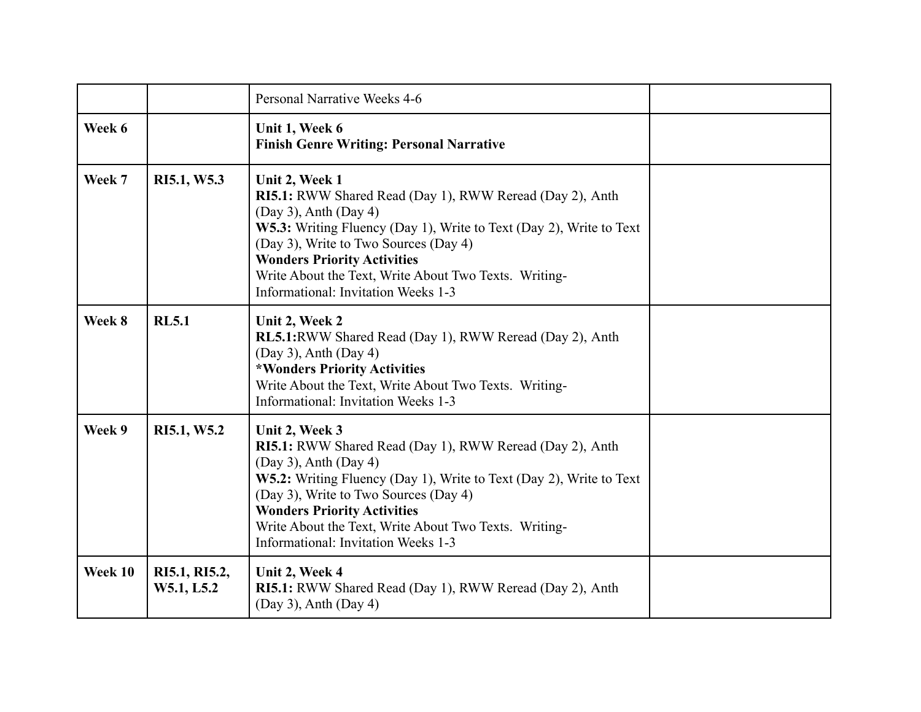|         |                             | Personal Narrative Weeks 4-6                                                                                                                                                                                                                                                                                                                                   |  |
|---------|-----------------------------|----------------------------------------------------------------------------------------------------------------------------------------------------------------------------------------------------------------------------------------------------------------------------------------------------------------------------------------------------------------|--|
| Week 6  |                             | Unit 1, Week 6<br><b>Finish Genre Writing: Personal Narrative</b>                                                                                                                                                                                                                                                                                              |  |
| Week 7  | RI5.1, W5.3                 | Unit 2, Week 1<br>RI5.1: RWW Shared Read (Day 1), RWW Reread (Day 2), Anth<br>$(Day 3)$ , Anth $(Day 4)$<br>W5.3: Writing Fluency (Day 1), Write to Text (Day 2), Write to Text<br>(Day 3), Write to Two Sources (Day 4)<br><b>Wonders Priority Activities</b><br>Write About the Text, Write About Two Texts. Writing-<br>Informational: Invitation Weeks 1-3 |  |
| Week 8  | <b>RL5.1</b>                | Unit 2, Week 2<br>RL5.1:RWW Shared Read (Day 1), RWW Reread (Day 2), Anth<br>$(Day 3)$ , Anth $(Day 4)$<br>*Wonders Priority Activities<br>Write About the Text, Write About Two Texts. Writing-<br>Informational: Invitation Weeks 1-3                                                                                                                        |  |
| Week 9  | RI5.1, W5.2                 | Unit 2, Week 3<br>RI5.1: RWW Shared Read (Day 1), RWW Reread (Day 2), Anth<br>$(Day 3)$ , Anth $(Day 4)$<br>W5.2: Writing Fluency (Day 1), Write to Text (Day 2), Write to Text<br>(Day 3), Write to Two Sources (Day 4)<br><b>Wonders Priority Activities</b><br>Write About the Text, Write About Two Texts. Writing-<br>Informational: Invitation Weeks 1-3 |  |
| Week 10 | RI5.1, RI5.2,<br>W5.1, L5.2 | Unit 2, Week 4<br>RI5.1: RWW Shared Read (Day 1), RWW Reread (Day 2), Anth<br>$(Day 3)$ , Anth $(Day 4)$                                                                                                                                                                                                                                                       |  |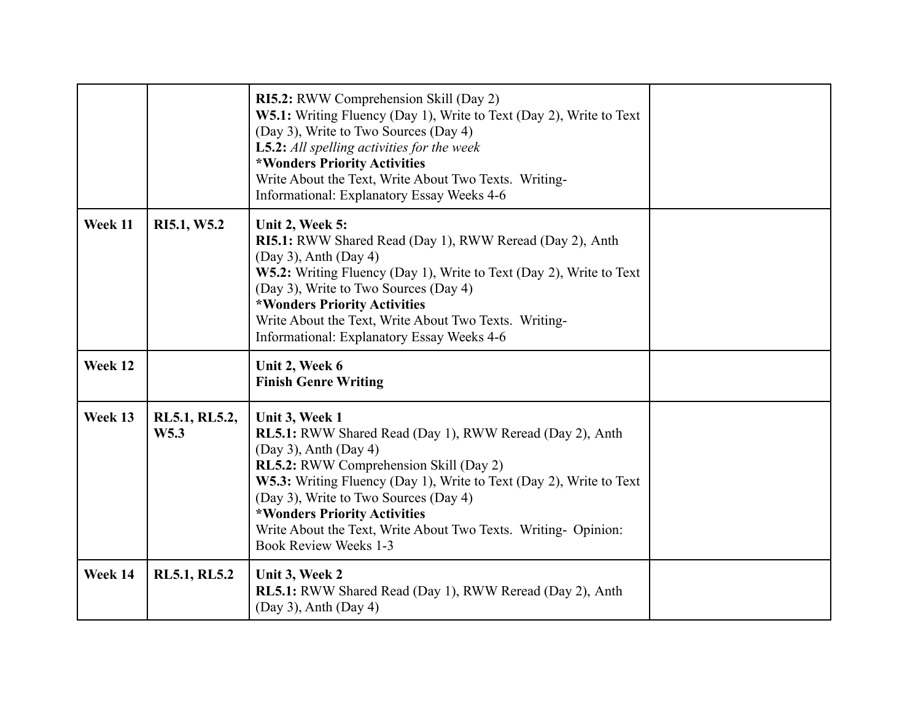|         |                                   | RI5.2: RWW Comprehension Skill (Day 2)<br>W5.1: Writing Fluency (Day 1), Write to Text (Day 2), Write to Text<br>(Day 3), Write to Two Sources (Day 4)<br>L5.2: All spelling activities for the week<br>*Wonders Priority Activities<br>Write About the Text, Write About Two Texts. Writing-<br>Informational: Explanatory Essay Weeks 4-6                                                                        |  |
|---------|-----------------------------------|--------------------------------------------------------------------------------------------------------------------------------------------------------------------------------------------------------------------------------------------------------------------------------------------------------------------------------------------------------------------------------------------------------------------|--|
| Week 11 | RI5.1, W5.2                       | Unit 2, Week 5:<br>RI5.1: RWW Shared Read (Day 1), RWW Reread (Day 2), Anth<br>$(Day 3)$ , Anth $(Day 4)$<br>W5.2: Writing Fluency (Day 1), Write to Text (Day 2), Write to Text<br>(Day 3), Write to Two Sources (Day 4)<br>*Wonders Priority Activities<br>Write About the Text, Write About Two Texts. Writing-<br>Informational: Explanatory Essay Weeks 4-6                                                   |  |
| Week 12 |                                   | Unit 2, Week 6<br><b>Finish Genre Writing</b>                                                                                                                                                                                                                                                                                                                                                                      |  |
| Week 13 | RL5.1, RL5.2,<br>W <sub>5.3</sub> | Unit 3, Week 1<br><b>RL5.1:</b> RWW Shared Read (Day 1), RWW Reread (Day 2), Anth<br>$(Day 3)$ , Anth $(Day 4)$<br><b>RL5.2:</b> RWW Comprehension Skill (Day 2)<br>W5.3: Writing Fluency (Day 1), Write to Text (Day 2), Write to Text<br>(Day 3), Write to Two Sources (Day 4)<br>*Wonders Priority Activities<br>Write About the Text, Write About Two Texts. Writing- Opinion:<br><b>Book Review Weeks 1-3</b> |  |
| Week 14 | <b>RL5.1, RL5.2</b>               | Unit 3, Week 2<br>RL5.1: RWW Shared Read (Day 1), RWW Reread (Day 2), Anth<br>$(Day 3)$ , Anth $(Day 4)$                                                                                                                                                                                                                                                                                                           |  |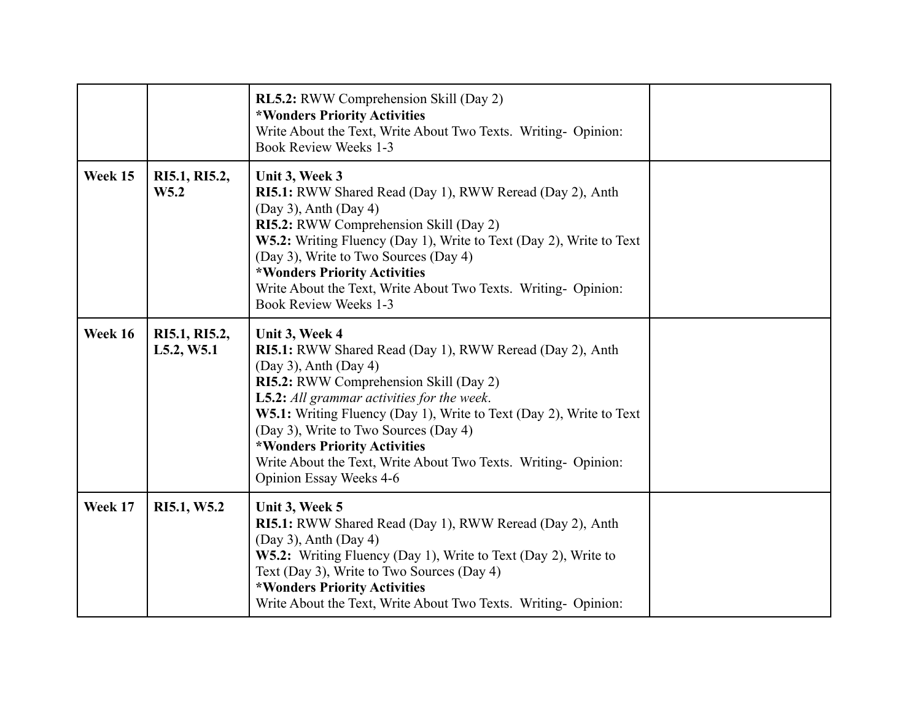|         |                             | <b>RL5.2:</b> RWW Comprehension Skill (Day 2)<br>*Wonders Priority Activities<br>Write About the Text, Write About Two Texts. Writing- Opinion:<br><b>Book Review Weeks 1-3</b>                                                                                                                                                                                                                                                                             |  |
|---------|-----------------------------|-------------------------------------------------------------------------------------------------------------------------------------------------------------------------------------------------------------------------------------------------------------------------------------------------------------------------------------------------------------------------------------------------------------------------------------------------------------|--|
| Week 15 | RI5.1, RI5.2,<br>W5.2       | Unit 3, Week 3<br>RI5.1: RWW Shared Read (Day 1), RWW Reread (Day 2), Anth<br>$(Day 3)$ , Anth $(Day 4)$<br>RI5.2: RWW Comprehension Skill (Day 2)<br>W5.2: Writing Fluency (Day 1), Write to Text (Day 2), Write to Text<br>(Day 3), Write to Two Sources (Day 4)<br>*Wonders Priority Activities<br>Write About the Text, Write About Two Texts. Writing- Opinion:<br><b>Book Review Weeks 1-3</b>                                                        |  |
| Week 16 | RI5.1, RI5.2,<br>L5.2, W5.1 | Unit 3, Week 4<br>RI5.1: RWW Shared Read (Day 1), RWW Reread (Day 2), Anth<br>$(Day 3)$ , Anth $(Day 4)$<br>RI5.2: RWW Comprehension Skill (Day 2)<br><b>L5.2:</b> All grammar activities for the week.<br><b>W5.1:</b> Writing Fluency (Day 1), Write to Text (Day 2), Write to Text<br>(Day 3), Write to Two Sources (Day 4)<br>*Wonders Priority Activities<br>Write About the Text, Write About Two Texts. Writing- Opinion:<br>Opinion Essay Weeks 4-6 |  |
| Week 17 | RI5.1, W5.2                 | Unit 3, Week 5<br>RI5.1: RWW Shared Read (Day 1), RWW Reread (Day 2), Anth<br>$(Day 3)$ , Anth $(Day 4)$<br>W5.2: Writing Fluency (Day 1), Write to Text (Day 2), Write to<br>Text (Day 3), Write to Two Sources (Day 4)<br>*Wonders Priority Activities<br>Write About the Text, Write About Two Texts. Writing- Opinion:                                                                                                                                  |  |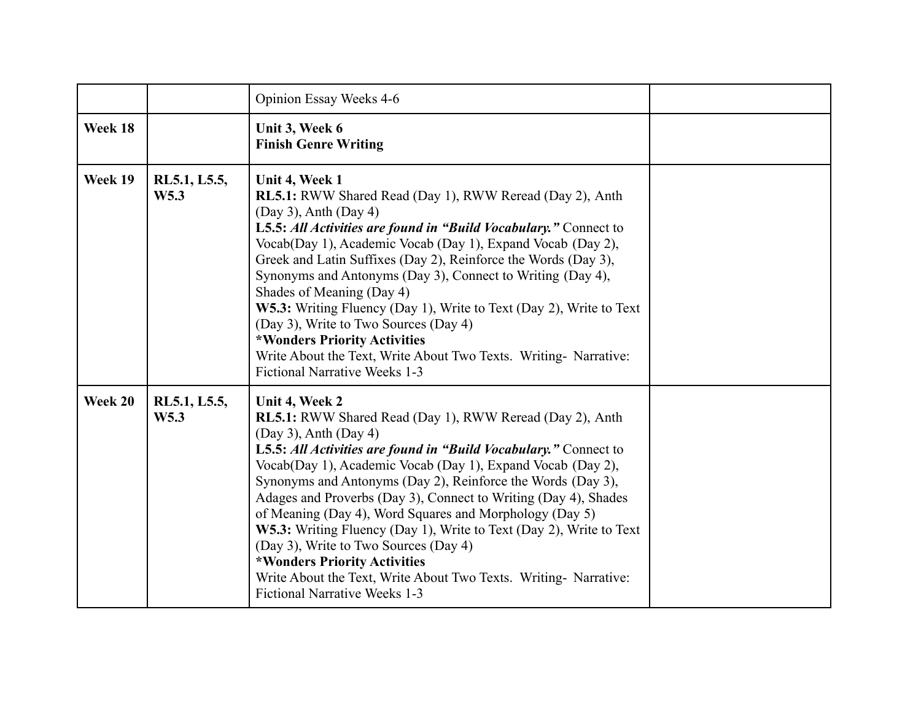|         |                      | Opinion Essay Weeks 4-6                                                                                                                                                                                                                                                                                                                                                                                                                                                                                                                                                                                                                                                                                     |  |
|---------|----------------------|-------------------------------------------------------------------------------------------------------------------------------------------------------------------------------------------------------------------------------------------------------------------------------------------------------------------------------------------------------------------------------------------------------------------------------------------------------------------------------------------------------------------------------------------------------------------------------------------------------------------------------------------------------------------------------------------------------------|--|
| Week 18 |                      | Unit 3, Week 6<br><b>Finish Genre Writing</b>                                                                                                                                                                                                                                                                                                                                                                                                                                                                                                                                                                                                                                                               |  |
| Week 19 | RL5.1, L5.5,<br>W5.3 | Unit 4, Week 1<br><b>RL5.1:</b> RWW Shared Read (Day 1), RWW Reread (Day 2), Anth<br>$(Day 3)$ , Anth $(Day 4)$<br>L5.5: All Activities are found in "Build Vocabulary." Connect to<br>Vocab(Day 1), Academic Vocab (Day 1), Expand Vocab (Day 2),<br>Greek and Latin Suffixes (Day 2), Reinforce the Words (Day 3),<br>Synonyms and Antonyms (Day 3), Connect to Writing (Day 4),<br>Shades of Meaning (Day 4)<br>W5.3: Writing Fluency (Day 1), Write to Text (Day 2), Write to Text<br>(Day 3), Write to Two Sources (Day 4)<br>*Wonders Priority Activities<br>Write About the Text, Write About Two Texts. Writing- Narrative:<br><b>Fictional Narrative Weeks 1-3</b>                                 |  |
| Week 20 | RL5.1, L5.5,<br>W5.3 | Unit 4, Week 2<br><b>RL5.1:</b> RWW Shared Read (Day 1), RWW Reread (Day 2), Anth<br>$(Day 3)$ , Anth $(Day 4)$<br>L5.5: All Activities are found in "Build Vocabulary." Connect to<br>Vocab(Day 1), Academic Vocab (Day 1), Expand Vocab (Day 2),<br>Synonyms and Antonyms (Day 2), Reinforce the Words (Day 3),<br>Adages and Proverbs (Day 3), Connect to Writing (Day 4), Shades<br>of Meaning (Day 4), Word Squares and Morphology (Day 5)<br>W5.3: Writing Fluency (Day 1), Write to Text (Day 2), Write to Text<br>(Day 3), Write to Two Sources (Day 4)<br>*Wonders Priority Activities<br>Write About the Text, Write About Two Texts. Writing- Narrative:<br><b>Fictional Narrative Weeks 1-3</b> |  |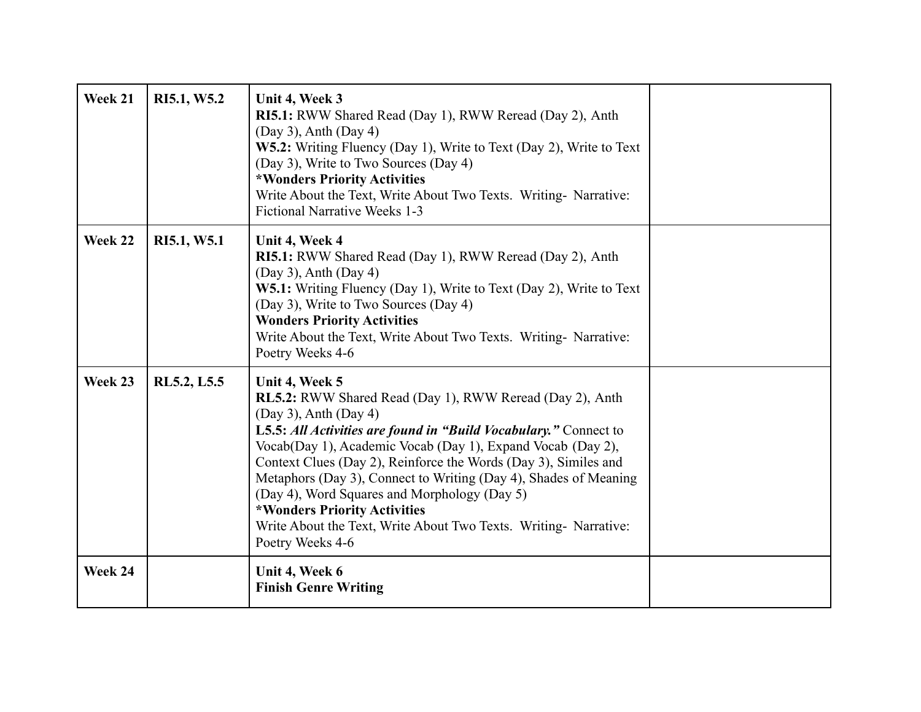| Week 21 | RI5.1, W5.2 | Unit 4, Week 3<br>RI5.1: RWW Shared Read (Day 1), RWW Reread (Day 2), Anth<br>$(Day 3)$ , Anth $(Day 4)$<br>W5.2: Writing Fluency (Day 1), Write to Text (Day 2), Write to Text<br>(Day 3), Write to Two Sources (Day 4)<br>*Wonders Priority Activities<br>Write About the Text, Write About Two Texts. Writing- Narrative:<br><b>Fictional Narrative Weeks 1-3</b>                                                                                                                                                                                       |  |
|---------|-------------|------------------------------------------------------------------------------------------------------------------------------------------------------------------------------------------------------------------------------------------------------------------------------------------------------------------------------------------------------------------------------------------------------------------------------------------------------------------------------------------------------------------------------------------------------------|--|
| Week 22 | RI5.1, W5.1 | Unit 4, Week 4<br>RI5.1: RWW Shared Read (Day 1), RWW Reread (Day 2), Anth<br>$(Day 3)$ , Anth $(Day 4)$<br>W5.1: Writing Fluency (Day 1), Write to Text (Day 2), Write to Text<br>(Day 3), Write to Two Sources (Day 4)<br><b>Wonders Priority Activities</b><br>Write About the Text, Write About Two Texts. Writing- Narrative:<br>Poetry Weeks 4-6                                                                                                                                                                                                     |  |
| Week 23 | RL5.2, L5.5 | Unit 4, Week 5<br>RL5.2: RWW Shared Read (Day 1), RWW Reread (Day 2), Anth<br>$(Day 3)$ , Anth $(Day 4)$<br>L5.5: All Activities are found in "Build Vocabulary." Connect to<br>Vocab(Day 1), Academic Vocab (Day 1), Expand Vocab (Day 2),<br>Context Clues (Day 2), Reinforce the Words (Day 3), Similes and<br>Metaphors (Day 3), Connect to Writing (Day 4), Shades of Meaning<br>(Day 4), Word Squares and Morphology (Day 5)<br>*Wonders Priority Activities<br>Write About the Text, Write About Two Texts. Writing- Narrative:<br>Poetry Weeks 4-6 |  |
| Week 24 |             | Unit 4, Week 6<br><b>Finish Genre Writing</b>                                                                                                                                                                                                                                                                                                                                                                                                                                                                                                              |  |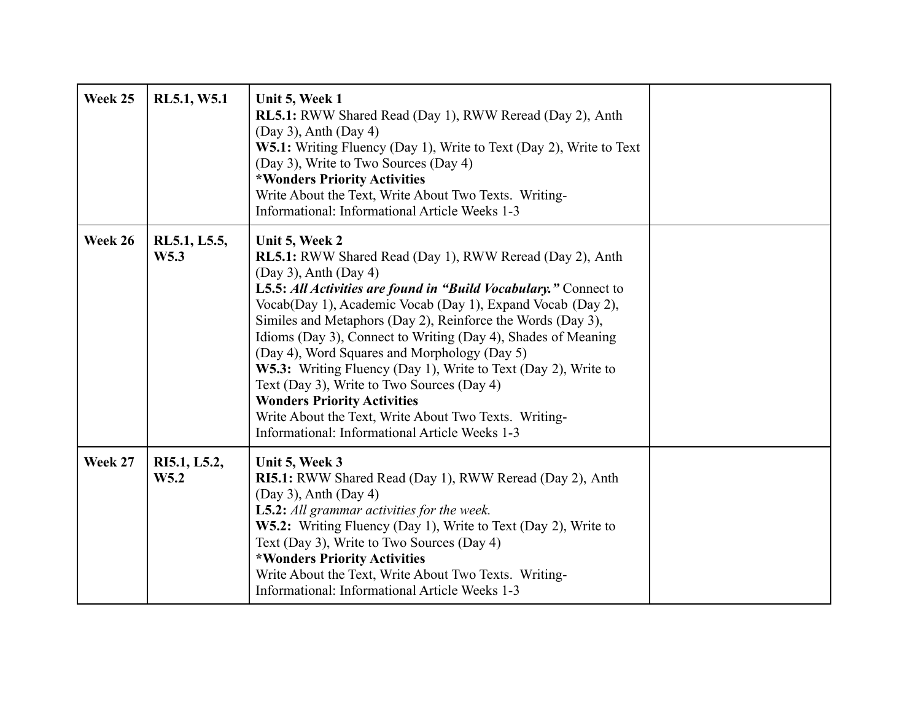| Week 25 | RL5.1, W5.1                      | Unit 5, Week 1<br><b>RL5.1:</b> RWW Shared Read (Day 1), RWW Reread (Day 2), Anth<br>$(Day 3)$ , Anth $(Day 4)$<br>W5.1: Writing Fluency (Day 1), Write to Text (Day 2), Write to Text<br>(Day 3), Write to Two Sources (Day 4)<br>*Wonders Priority Activities<br>Write About the Text, Write About Two Texts. Writing-<br>Informational: Informational Article Weeks 1-3                                                                                                                                                                                                                                                                                                                          |  |
|---------|----------------------------------|-----------------------------------------------------------------------------------------------------------------------------------------------------------------------------------------------------------------------------------------------------------------------------------------------------------------------------------------------------------------------------------------------------------------------------------------------------------------------------------------------------------------------------------------------------------------------------------------------------------------------------------------------------------------------------------------------------|--|
| Week 26 | RL5.1, L5.5,<br>W <sub>5.3</sub> | Unit 5, Week 2<br><b>RL5.1:</b> RWW Shared Read (Day 1), RWW Reread (Day 2), Anth<br>$(Day 3)$ , Anth $(Day 4)$<br>L5.5: All Activities are found in "Build Vocabulary." Connect to<br>Vocab(Day 1), Academic Vocab (Day 1), Expand Vocab (Day 2),<br>Similes and Metaphors (Day 2), Reinforce the Words (Day 3),<br>Idioms (Day 3), Connect to Writing (Day 4), Shades of Meaning<br>(Day 4), Word Squares and Morphology (Day 5)<br>W5.3: Writing Fluency (Day 1), Write to Text (Day 2), Write to<br>Text (Day 3), Write to Two Sources (Day 4)<br><b>Wonders Priority Activities</b><br>Write About the Text, Write About Two Texts. Writing-<br>Informational: Informational Article Weeks 1-3 |  |
| Week 27 | RI5.1, L5.2,<br>W5.2             | Unit 5, Week 3<br><b>RI5.1:</b> RWW Shared Read (Day 1), RWW Reread (Day 2), Anth<br>$(Day 3)$ , Anth $(Day 4)$<br><b>L5.2:</b> All grammar activities for the week.<br>W5.2: Writing Fluency (Day 1), Write to Text (Day 2), Write to<br>Text (Day 3), Write to Two Sources (Day 4)<br>*Wonders Priority Activities<br>Write About the Text, Write About Two Texts. Writing-<br>Informational: Informational Article Weeks 1-3                                                                                                                                                                                                                                                                     |  |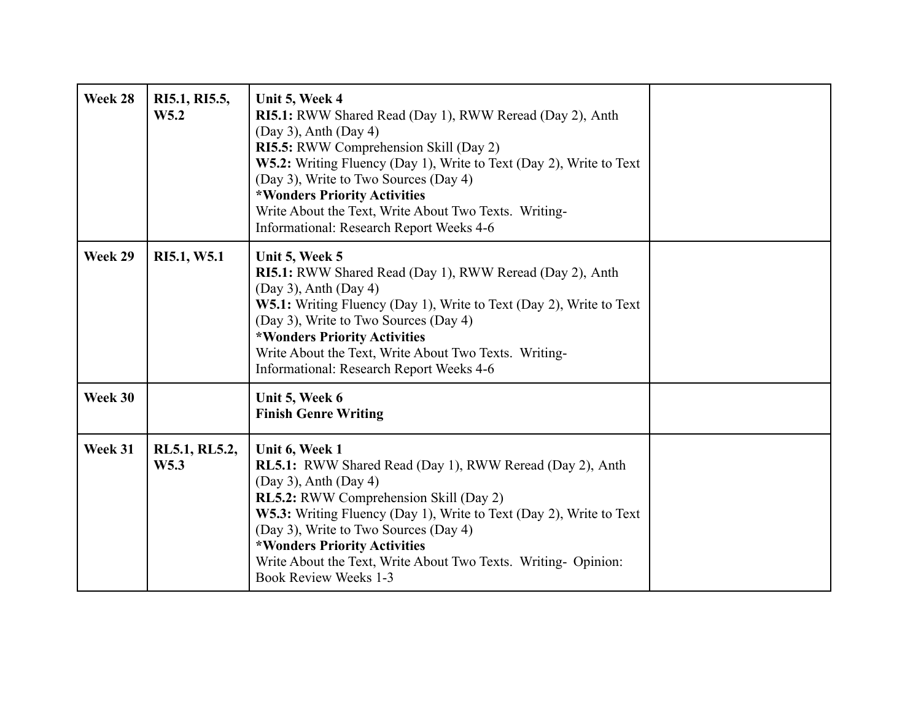| Week 28 | RI5.1, RI5.5,<br>W <sub>5.2</sub> | Unit 5, Week 4<br>RI5.1: RWW Shared Read (Day 1), RWW Reread (Day 2), Anth<br>$(Day 3)$ , Anth $(Day 4)$<br>RI5.5: RWW Comprehension Skill (Day 2)<br>W5.2: Writing Fluency (Day 1), Write to Text (Day 2), Write to Text<br>(Day 3), Write to Two Sources (Day 4)<br>*Wonders Priority Activities<br>Write About the Text, Write About Two Texts. Writing-<br>Informational: Research Report Weeks 4-6     |  |
|---------|-----------------------------------|-------------------------------------------------------------------------------------------------------------------------------------------------------------------------------------------------------------------------------------------------------------------------------------------------------------------------------------------------------------------------------------------------------------|--|
| Week 29 | RI5.1, W5.1                       | Unit 5, Week 5<br>RI5.1: RWW Shared Read (Day 1), RWW Reread (Day 2), Anth<br>$(Day 3)$ , Anth $(Day 4)$<br>W5.1: Writing Fluency (Day 1), Write to Text (Day 2), Write to Text<br>(Day 3), Write to Two Sources (Day 4)<br>*Wonders Priority Activities<br>Write About the Text, Write About Two Texts. Writing-<br>Informational: Research Report Weeks 4-6                                               |  |
| Week 30 |                                   | Unit 5, Week 6<br><b>Finish Genre Writing</b>                                                                                                                                                                                                                                                                                                                                                               |  |
| Week 31 | RL5.1, RL5.2,<br>W <sub>5.3</sub> | Unit 6, Week 1<br><b>RL5.1:</b> RWW Shared Read (Day 1), RWW Reread (Day 2), Anth<br>$(Day 3)$ , Anth $(Day 4)$<br>RL5.2: RWW Comprehension Skill (Day 2)<br>W5.3: Writing Fluency (Day 1), Write to Text (Day 2), Write to Text<br>(Day 3), Write to Two Sources (Day 4)<br>*Wonders Priority Activities<br>Write About the Text, Write About Two Texts. Writing- Opinion:<br><b>Book Review Weeks 1-3</b> |  |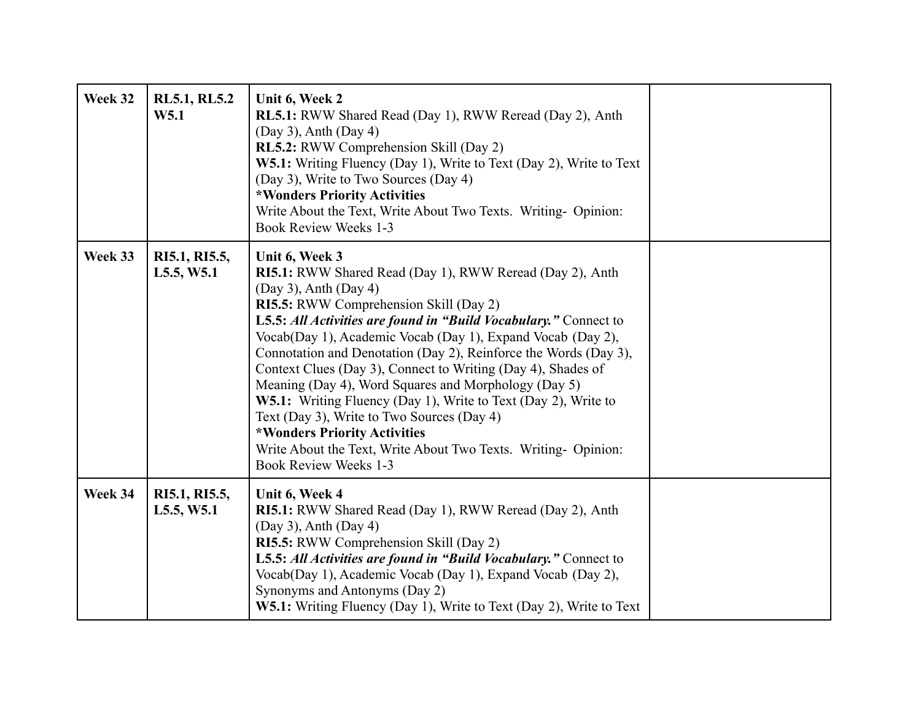| Week 32 | <b>RL5.1, RL5.2</b><br>W5.1 | Unit 6, Week 2<br><b>RL5.1:</b> RWW Shared Read (Day 1), RWW Reread (Day 2), Anth<br>$(Day 3)$ , Anth $(Day 4)$<br><b>RL5.2:</b> RWW Comprehension Skill (Day 2)<br>W5.1: Writing Fluency (Day 1), Write to Text (Day 2), Write to Text<br>(Day 3), Write to Two Sources (Day 4)<br>*Wonders Priority Activities<br>Write About the Text, Write About Two Texts. Writing- Opinion:<br><b>Book Review Weeks 1-3</b>                                                                                                                                                                                                                                                                                                                         |  |
|---------|-----------------------------|--------------------------------------------------------------------------------------------------------------------------------------------------------------------------------------------------------------------------------------------------------------------------------------------------------------------------------------------------------------------------------------------------------------------------------------------------------------------------------------------------------------------------------------------------------------------------------------------------------------------------------------------------------------------------------------------------------------------------------------------|--|
| Week 33 | RI5.1, RI5.5,<br>L5.5, W5.1 | Unit 6, Week 3<br><b>RI5.1:</b> RWW Shared Read (Day 1), RWW Reread (Day 2), Anth<br>$(Day 3)$ , Anth $(Day 4)$<br>RI5.5: RWW Comprehension Skill (Day 2)<br>L5.5: All Activities are found in "Build Vocabulary." Connect to<br>Vocab(Day 1), Academic Vocab (Day 1), Expand Vocab (Day 2),<br>Connotation and Denotation (Day 2), Reinforce the Words (Day 3),<br>Context Clues (Day 3), Connect to Writing (Day 4), Shades of<br>Meaning (Day 4), Word Squares and Morphology (Day 5)<br>W5.1: Writing Fluency (Day 1), Write to Text (Day 2), Write to<br>Text (Day 3), Write to Two Sources (Day 4)<br>*Wonders Priority Activities<br>Write About the Text, Write About Two Texts. Writing- Opinion:<br><b>Book Review Weeks 1-3</b> |  |
| Week 34 | RI5.1, RI5.5,<br>L5.5, W5.1 | Unit 6, Week 4<br>RI5.1: RWW Shared Read (Day 1), RWW Reread (Day 2), Anth<br>$(Day 3)$ , Anth $(Day 4)$<br>RI5.5: RWW Comprehension Skill (Day 2)<br>L5.5: All Activities are found in "Build Vocabulary." Connect to<br>Vocab(Day 1), Academic Vocab (Day 1), Expand Vocab (Day 2),<br>Synonyms and Antonyms (Day 2)<br>W5.1: Writing Fluency (Day 1), Write to Text (Day 2), Write to Text                                                                                                                                                                                                                                                                                                                                              |  |